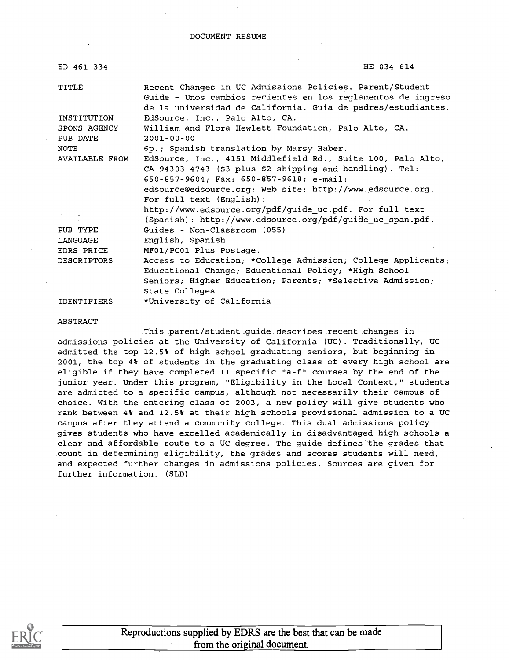#### DOCUMENT RESUME

| ED 461 334          | HE 034 614                                                                                                                                                                               |
|---------------------|------------------------------------------------------------------------------------------------------------------------------------------------------------------------------------------|
| TITLE               | Recent Changes in UC Admissions Policies. Parent/Student<br>Guide = Unos cambios recientes en los reglamentos de ingreso<br>de la universidad de California. Guia de padres/estudiantes. |
| INSTITUTION         | EdSource, Inc., Palo Alto, CA.                                                                                                                                                           |
| SPONS AGENCY        | William and Flora Hewlett Foundation, Palo Alto, CA.                                                                                                                                     |
| PUB DATE            | $2001 - 00 - 00$                                                                                                                                                                         |
| NOTE                | 6p.; Spanish translation by Marsy Haber.                                                                                                                                                 |
| AVAILABLE FROM      | EdSource, Inc., 4151 Middlefield Rd., Suite 100, Palo Alto,<br>CA 94303-4743 (\$3 plus \$2 shipping and handling). Tel:                                                                  |
|                     | 650-857-9604; Fax: 650-857-9618; e-mail:                                                                                                                                                 |
|                     | edsource@edsource.org; Web site: http://www.edsource.org.                                                                                                                                |
|                     | For full text (English):                                                                                                                                                                 |
| <b>King Control</b> | http://www.edsource.org/pdf/guide uc.pdf. For full text                                                                                                                                  |
|                     | (Spanish): http://www.edsource.org/pdf/guide uc span.pdf.                                                                                                                                |
| PUB TYPE            | Guides - Non-Classroom (055)                                                                                                                                                             |
| LANGUAGE            | English, Spanish                                                                                                                                                                         |
| EDRS PRICE          | MF01/PC01 Plus Postage.                                                                                                                                                                  |
| <b>DESCRIPTORS</b>  | Access to Education; *College Admission; College Applicants;                                                                                                                             |
|                     | Educational Change; Educational Policy; *High School                                                                                                                                     |
|                     | Seniors; Higher Education; Parents; *Selective Admission;                                                                                                                                |
|                     | State Colleges                                                                                                                                                                           |
| <b>IDENTIFIERS</b>  | *University of California                                                                                                                                                                |

ABSTRACT

This parent/student.guide describes recent changes in admissions policies at the University of California (UC) . Traditionally, UC admitted the top 12.5% of high school graduating seniors, but beginning in 2001, the top 4% of students in the graduating class of every high school are eligible if they have completed 11 specific "a-f" courses by the end of the junior year. Under this program, "Eligibility in the Local Context," students are admitted to a specific campus, although not necessarily their campus of choice. With the entering class of 2003, a new policy will give students who rank between 4% and 12.5% at their high schools provisional admission to a UC campus after they attend a community college. This dual admissions policy gives students who have excelled academically in disadvantaged high schools a clear and affordable route to a UC degree. The guide defines'the grades that count in determining eligibility, the grades and scores students will need, and expected further changes in admissions policies. Sources are given for further information. (SLD)

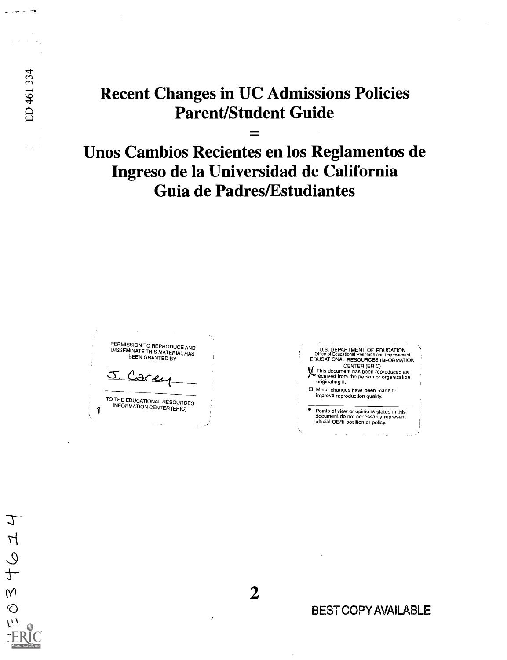### Recent Changes in UC Admissions Policies Parent/Student Guide

Unos Cambios Recientes en los Reglamentos de Ingreso de la Universidad de California Guia de Padres/Estudiantes

PERMISSION TO REPRODUCE AND DISSEMINATE THIS MATERIAL HAS BEEN GRANTED BY J. Care

ED 461 334

 $\mathcal{I}$ 

 $\overline{\mathcal{L}}$ 

 $\overline{Q}$  $\ddot{t}$ 

 $\hat{N}$  $\bigcirc$ W

**1** INFORMATION CENTER (ERIC) TO THE EDUCATIONALRESOURCES

 $-1$ 

U.S. DEPARTMENT OF EDUCATION<br>Office of Educational Research and Improvement<br>EDUCATIONAL RESOURCES INFORMATION CENTER (ERIC) g,This document has been reproduced as received from the person or organization originating it. O Minor changes have been made to improve reproduction quality.

Points of view or opinions stated in this document do not necessarily represent official OERI position or policy.

BEST COPY AVAILABLE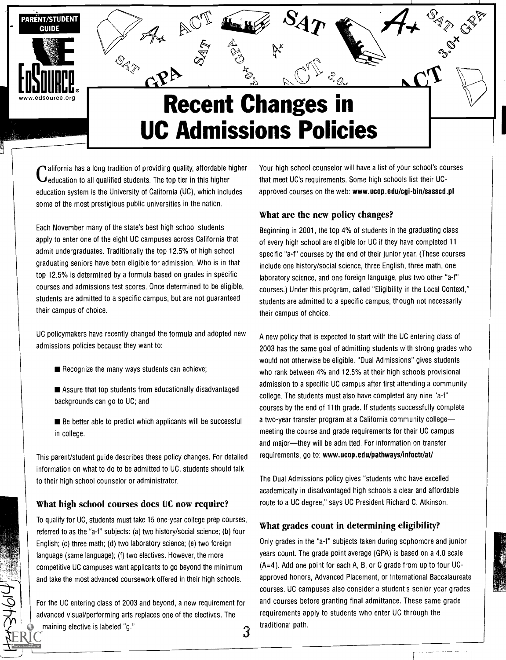

Containment of the students. The top tier in this higher alifornia has a long tradition of providing quality, affordable higher education system is the University of California (UC), which includes some of the most prestigious public universities in the nation.

Each November many of the state's best high school students apply to enter one of the eight UC campuses across California that admit undergraduates. Traditionally the top 12.5% of high school graduating seniors have been eligible for admission. Who is in that top 12.5% is determined by a formula based on grades in specific courses and admissions test scores. Once determined to be eligible, students are admitted to a specific campus, but are not guaranteed their campus of choice.

UC policymakers have recently changed the formula and adopted new admissions policies because they want to:

- Recognize the many ways students can achieve;
- Assure that top students from educationally disadvantaged backgrounds can go to UC; and
- Be better able to predict which applicants will be successful in college.

This parent/student guide describes these policy changes. For detailed information on what to do to be admitted to UC, students should talk to their high school counselor or administrator.

#### What high school courses does UC now require?

To qualify for UC, students must take 15 one-year college prep courses, referred to as the "a-f" subjects: (a) two history/social science; (b) four English; (c) three math; (d) two laboratory science; (e) two foreign language (same language); (f) two electives. However, the more competitive UC campuses want applicants to go beyond the minimum and take the most advanced coursework offered in their high schools.

For the UC entering class of 2003 and beyond, a new requirement for advanced visual/performing arts replaces one of the electives. The maining elective is labeled "g."  $\,3\,$  Your high school counselor will have a list of your school's courses that meet UC's requirements. Some high schools list their UCapproved courses on the web: www.ucop.edu/cgi-bin/sasscd.pl

#### What are the new policy changes?

Beginning in 2001, the top 4% of students in the graduating class of every high school are eligible for UC if they have completed 11 specific "a-f" courses by the end of their junior year. (These courses include one history/social science, three English, three math, one laboratory science, and one foreign language, plus two other "a-f" courses.) Under this program, called "Eligibility in the Local Context," students are admitted to a specific campus, though not necessarily their campus of choice.

A new policy that is expected to start with the UC entering class of 2003 has the same goal of admitting students with strong grades who would not otherwise be eligible. "Dual Admissions" gives students who rank between 4% and 12.5% at their high schools provisional admission to a specific UC campus after first attending a community college. The students must also have completed any nine "a-f" courses by the end of 11th grade. If students successfully complete a two-year transfer program at a California community college meeting the course and grade requirements for their UC campus and major-they will be admitted. For information on transfer requirements, go to: www.ucop.edu/pathways/infoctr/at/

The Dual Admissions policy gives "students who have excelled academically in disadvantaged high schools a clear and affordable route to a UC degree," says UC President Richard C. Atkinson.

#### What grades count in determining eligibility?

Only grades in the "a-f" subjects taken during sophomore and junior years count. The grade point average (GPA) is based on a 4.0 scale (A=4). Add one point for each A, B, or C grade from up to four UCapproved honors, Advanced Placement, or International Baccalaureate courses. UC campuses also consider a student's senior year grades and courses before granting final admittance. These same grade requirements apply to students who enter UC through the traditional path.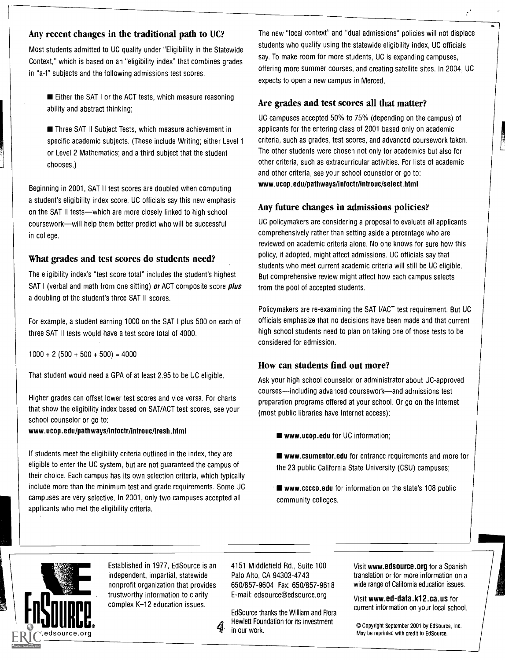#### Any recent changes in the traditional path to UC?

Most students admitted to UC qualify under "Eligibility in the Statewide Context," which is based on an "eligibility index" that combines grades in "a-f" subjects and the following admissions test scores:

Either the SAT I or the ACT tests, which measure reasoning ability and abstract thinking;

■ Three SAT II Subject Tests, which measure achievement in specific academic subjects. (These include Writing; either Level 1 or Level 2 Mathematics; and a third subject that the student chooses.)

Beginning in 2001, SAT II test scores are doubled when computing a student's eligibility index score. UC officials say this new emphasis on the SAT II tests—which are more closely linked to high school coursework-will help them better predict who will be successful in college.

#### What grades and test scores do students need?

The eligibility index's "test score total" includes the student's highest SAT I (verbal and math from one sitting) or ACT composite score plus a doubling of the student's three SAT II scores.

For example, a student earning 1000 on the SAT I plus 500 on each of three SAT II tests would have a test score total of 4000.

 $1000 + 2 (500 + 500 + 500) = 4000$ 

That student would need a GPA of at least 2.95 to be UC eligible.

Higher grades can offset lower test scores and vice versa. For charts that show the eligibility index based on SAT/ACT test scores, see your school counselor or go to:

#### www.ucop.edu/pathways/infoctr/introuc/fresh.html

If students meet the eligibility criteria outlined in the index, they are eligible to enter the UC system, but are not guaranteed the campus of their choice. Each campus has its own selection criteria, which typically include more than the minimum test and grade requirements. Some UC campuses are very selective. In 2001, only two campuses accepted all applicants who met the eligibility criteria.

The new "local context" and "dual admissions" policies will not displace students who qualify using the statewide eligibility index, UC officials say. To make room for more students, UC is expanding campuses, offering more summer courses, and creating satellite sites. In 2004, UC expects to open a new campus in Merced.

#### Are grades and test scores all that matter?

UC campuses accepted 50% to 75% (depending on the campus) of applicants for the entering class of 2001 based only on academic criteria, such as grades, test scores, and advanced coursework taken. The other students were chosen not only for academics but also for other criteria, such as extracurricular activities. For lists of academic and other criteria, see your school counselor or go to: www.ucop.edu/pathways/infoctr/introuc/select.html

#### Any future changes in admissions policies?

UC policymakers are considering a proposal to evaluate all applicants comprehensively rather than setting aside a percentage who are reviewed on academic criteria alone. No one knows for sure how this policy, if adopted, might affect admissions. UC officials say that students who meet current academic criteria will still be UC eligible. But comprehensive review might affect how each campus selects from the pool of accepted students.

Policymakers are re-examining the SAT I/ACT test requirement. But UC officials emphasize that no decisions have been made and that current high school students need to plan on taking one of those tests to be considered for admission.

#### How can students find out more?

Ask your high school counselor or administrator about UC-approved courses—including advanced coursework—and admissions test preparation programs offered at your school. Or go on the Internet (most public libraries have Internet access):

- www.ucop.edu for UC information;
- www.csumentor.edu for entrance requirements and more for the 23 public California State University (CSU) campuses;
- www.cccco.edu for information on the state's 108 public community colleges.



Established in 1977, EdSource is an independent, impartial, statewide nonprofit organization that provides trustworthy information to clarify complex K-12 education issues.

4151 Middlefield Rd., Suite 100 Palo Alto, CA 94303-4743 650/857-9604 Fax: 650/857-9618 E-mail: edsource@edsource.org

EdSource thanks the William and Flora Hewlett Foundation for its investment in our work.

Visit www.edsource.org for a Spanish translation or for more information on a wide range of California education issues.

Visit www.ed-data.k12.ca.us for current information on your local school.

© Copyright September 2001 by EdSource, Inc. May be reprinted with credit to EdSource.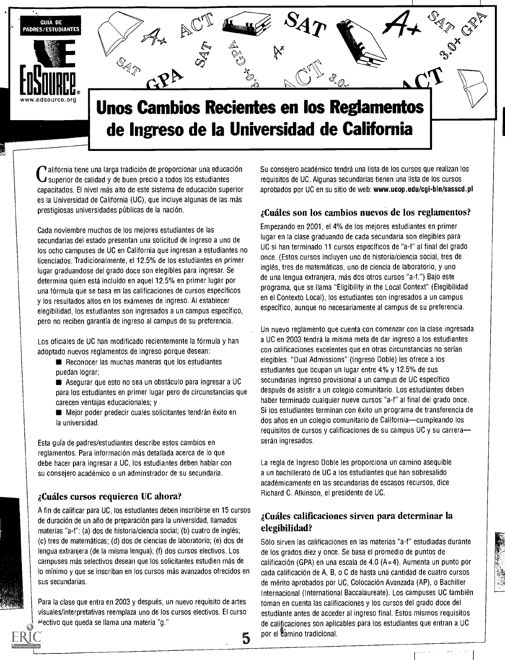

C superior de calidad y de buen precio a todos los estudiantes alifornia tiene una larga tradición de proporcionar una educación capacitados. El nivel más alto de este sistema de educación superior es la Universidad de California (UC), que incluye algunas de las más prestigiosas universidades públicas de la nación.

Cada noviembre muchos de los mejores estudiantes de las secundarias del estado presentan una solicitud de ingreso a uno de los ocho campuses de UC en California que ingresan a estudiantes no licenciados. Tradicionalmente, el 12.5% de los estudiantes en primer lugar graduandose del grado doce son elegibles para ingresar. Se determina quien está incluido en aquel 12.5% en primer lugar por una fórmula que se basa en las calificaciones de cursos específicos y los resultados altos en los exámenes de ingreso. Al establecer elegibilidad, los estudiantes son ingresados a un campus especifico, pero no reciben garantia de ingreso al campus de su preferencia.

Los oficiales de UC han modificado recientemente la fórmula y han adoptado nuevos reglamentos de ingreso porque desean:

Reconocer las muchas maneras que los estudiantes puedan lograr;

Asegurar que esto no sea un obstáculo para ingresar a UC para los estudiantes en primer lugar pero de circunstancias que carecen ventajas educacionales; y

Mejor poder predecir cuales solicitantes tendrán éxito en la universidad.

Esta guia de padres/estudiantes describe estos cambios en reglamentos. Para información más detallada acerca de lo que debe hacer para ingresar a UC, los estudiantes deben hablar con su consejero académico o un adminstrador de su secundaria.

#### iCuiles cursos requieren UC ahora?

A fin de calificar para UC, los estudiantes deben inscribirse en 15 cursos de duración de un año de preparación.para la universidad, llamados materias "a-f": (a) dos de historia/ciencia social; (b) cuatro de ingles; (c) tres de matemáticas; (d) dos de ciencias de laboratorio; (e) dos de lengua extranjera (de la misma lengua); (f) dos cursos electivos. Los campuses más selectivos desean que los solicitantes estudien más de lo minima y que se inscriban en los cursos más avanzados ofrecidos en sus secundarias.

Para la clase que entra en 2003 y después, un nuevo requisito de artes visuales/interpretativas reemplaza uno de los cursos electivos. El curso electivo que queda se llama una materia "g."

Su consejero académico tendrá una lista de los cursos que realizan los requisitos de UC. Algunas secundarias tienen una lista de los cursos aprobados por UC en su sitio de web: www.ucop.edu/cgi-bin/sasscd.pl

#### iCudles son los cambios nuevos de los reglamentos?

Empezando en 2001, el 4% de los mejores estudiantes en primer lugar en la clase graduando de cada secundaria son elegibles para UC si han terminado 11 cursos especificos de "a-f" al final del grado once. (Estos cursos incluyen uno de historia/ciencia social, tres de inglés, tres de matemáticas, uno de ciencia de laboratorio, y uno de una lengua extranjera, más dos otros cursos "a-f.") Bajo este programa, que se llama "Eligibility in the Local Context" (Elegibilidad en el Contexto Local), los estudiantes son ingresados a un campus específico, aunque no necesariamente al campus de su preferencia.

Un nuevo reglamento que cuenta con comenzar con la clase ingresada a UC en 2003 tendrá la misma meta de dar ingreso a los estudiantes con calificaciones excelentes que en otras circunstancias no serian elegibles. "Dual Admissions" (Ingreso Doble) les ofrece a los estudiantes que ocupan un lugar entre 4% y 12.5% de sus secundarias ingreso provisional a un campus de UC especifico después de asistir a un colegio comunitario. Los estudiantes deben haber terminado cualquier nueve cursos "a-f" al final del grado once. Si los estudiantes terminan con éxito un programa de transferencia de dos años en un colegio comunitario de California-cumpleando los requisitos de cursos y calificaciones de su campus UC y su carreraserán ingresados.

La regla de Ingreso Doble les proporciona un camino asequible a un bachillerato de UC a los estudiantes que han sobresalido académicamente en las secundarias de escasos recursos, dice Richard C. Atkinson, el presidente de UC.

### iCuiles calificaciones sirven para determinar la elegibilidad?

 $5$  por el camino tradicional. Sólo sirven las calificaciones en las materias "a-f" estudiadas durante de los grados diez y once. Se basa el promedio de puntos de calificación (GPA) en una escala de 4.0  $(A=4)$ . Aumenta un punto por cada calificación de A, B, o C de hasta una cantidad de cuatro cursos de mérito aprobados por UC, Colocación Avanzada (AP), o Bachiller Internacional (International Baccalaureate). Los campuses UC también toman en cuenta las calificaciones y los cursos del grado doce del estudiante antes de acceder al ingreso final. Estos mismos requisitos de calificaciones son aplicables para los estudiantes que entran a UC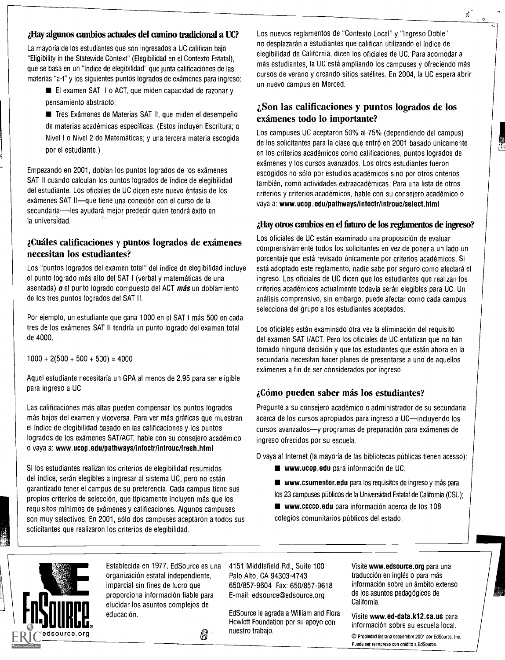#### Hay algunos cambios actnales del camino tradicional a UC?

La mayoria de los estudiantes que son ingresados a UC califican bajo "Eligibility in the Statewide Context" (Elegibilidad en el Contexto Estatal), que se basa en un "indice de elegibilidad" que junta calificaciones de las materias "a-f" y los siguientes puntos logrados de exámenes para ingreso:

El examen SAT I o ACT, que miden capacidad de razonar y pensamiento abstracto;

■ Tres Exámenes de Materias SAT II, que miden el desempeño de materias académicas especificas. (Estos incluyen Escritura; o Nivel I o Nivel 2 de Matemáticas; y una tercera materia escogida por el estudiante.)

Empezando en 2001, doblan los puntos logrados de los exámenes SAT II cuando calculan los puntos logrados de indice de elegibilidad del estudiante. Los oficiales de UC dicen este nuevo 6nfasis de los exámenes SAT II-aue tiene una conexión con el curso de la secundaria--les ayudará mejor predecir quien tendrá éxito en la universidad.

#### iCuales calificaciones y puntos logrados de examenes necesitan los estudiantes?

Los "puntos logrados del examen total" del indice de elegibilidad incluye el punto logrado más alto del SAT I (verbal y matem6ticas de una asentada) **o** el punto logrado compuesto del ACT *más* un doblamiento de los tres puntos logrados del SAT II.

Por ejemplo, un estudiante que gana 1000 en el SAT I más 500 en cada tres de los exámenes SAT II tendría un punto logrado del examen total de 4000.

#### $1000 + 2(500 + 500 + 500) = 4000$

Aquel estudiante necesitaria un GPA al menos de 2.95 para ser eligible para ingreso a UC.

Las calificaciones más altas pueden compensar los puntos logrados más bajos del examen y viceversa. Para ver más gráficas que muestran el indice de elegibilidad basado en las calificaciones y los puntos logrados de los exámenes SAT/ACT, hable con su consejero académico o vaya a: www.ucop.edu/pathways/infoctr/introuc/fresh.html

Si los estudiantes realizan los criterios de elegibilidad resumidos del índice, serán elegibles a ingresar al sistema UC, pero no están garantizado tener el campus de su preferencia. Cada campus tiene sus propios criterios de selección, que típicamente incluyen más que los requisitos minimos de exámenes y calificaciones. Algunos campuses son muy selectivos. En 2001, sólo dos campuses aceptaron a todos sus solicitantes que realizaron los criterios de elegibilidad.

Los nuevos reglamentos de "Contexto Local" y "Ingreso Doble" no desplazarán a estudiantes que califican utilizando el índice de elegibilidad de California, dicen los oficiales de UC. Para acomodar a más estudiantes, la UC está ampliando los campuses y ofreciendo más cursos de verano y creando sitios satélites. En 2004, la UC espera abrir un nuevo campus en Merced.

#### i,Son las calificaciones y puntos logrados de los examenes todo lo importante?

Los campuses UC aceptaron 50% al 75% (dependiendo del campus) de los solicitantes para la clase que entró en 2001 basado únicamente en los criterios académicos como calificaciones, puntos logrados de exámenes y los cursos avanzados. Los otros estudiantes fueron escogidos no sólo por estudios académicos sino por otros criterios también, como actividades extraacadémicas. Para una lista de otros criterios y criterios académicos, hable con su consejero académico o vaya a: www.ucop.edu/pathways/infoctr/introuc/select.html

#### ¿Hay otros cambios en el futuro de los reglamentos de ingreso?

Los oficiales de UC están examinado una proposición de evaluar comprensivamente todos los solicitantes en vez de poner a un lado un porcentaje que está revisado únicamente por criterios académicos. Si está adoptado este reglamento, nadie sabe por seguro como afectará el ingreso. Los oficiales de UC dicen que los estudiantes que realizan los criterios académicos actualmente todavia serán elegibles para UC. Un andlisis comprensivo, sin embargo, puede afectar como cada campus selecciona del grupo a los estudiantes aceptados.

Los oficiales están examinado otra vez la eliminación del requisito del exarnen SAT I/ACT. Pero los oficiales de UC enfatizan que no han tomado ninguna decisión y que los estudiantes que están ahora en la secundaria necesitan hacer planes de presentarse a uno de aquellos exámenes a fin de ser considerados por ingreso.

#### ¿Cómo pueden saber más los estudiantes?

Pregunte a su consejero académico o administrador de su secundaria acerca de los cursos apropiados para ingreso a UC-incluyendo los cursos avanzados-y programas de preparación para exámenes de ingreso ofrecidos por su escuela.

O vaya al Internet (la mayoría de las bibliotecas públicas tienen acesso):

- **www.ucop.edu** para información de UC;
- www.csumentor.edu para los requisitos de ingreso y más para los 23 campuses públicos de la Universidad Estatal de California (CSU);

■ www.cccco.edu para información acerca de los 108 colegios comunitarios públicos del estado.



Establecida en 1977, Ed Source es una organización estatal independiente, imparcial sin fines de lucro que proporciona informaci6n fiable para elucidar los asuntos complejos de educación.

4151 Middlefield Rd., Suite 100 Palo Alto, CA 94303-4743 650/857-9604 Fax: 650/857-9618 E-mail: edsource@edsource.org

Ed Source le agrada a William and Flora Hewlett Foundation por su apoyo con nuestro trabajo.

Visite www.edsource.org para una traducción en inglés o para más información sobre un ámbito extenso de los asuntos pedagógicos de California.

Visite www.ed-data.k12.ca.us para informaci6n sobre su escuela local.

© Propiedad literaria septiembre 2001 por EdSource, Inc. Puede ser reimpreso con crédito a EdSource.